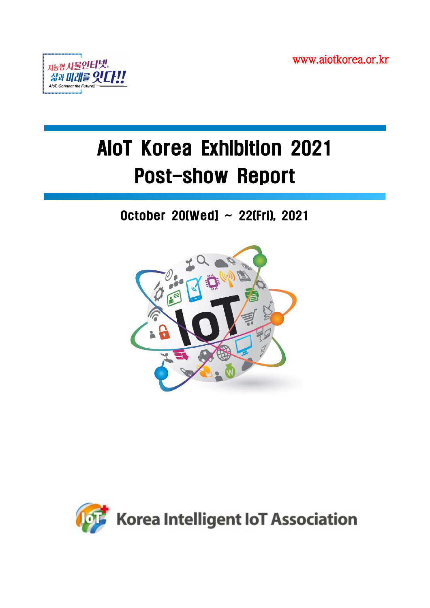www.aiotkorea.or.kr



# AIoT Korea Exhibition 2021 Post-show Report

# October 20(Wed] ~ 22(Fri), 2021



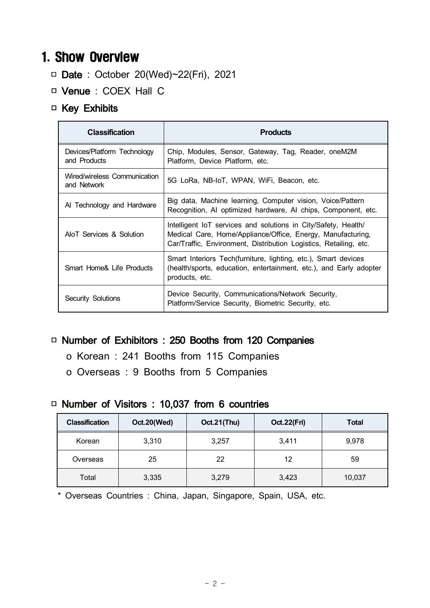## 1. Show Overview

- □ Date : October 20(Wed)~22(Fri), 2021
- □ Venue : COEX Hall C

#### □ Key Exhibits

| <b>Classification</b>                       | <b>Products</b>                                                                                                                                                                                    |
|---------------------------------------------|----------------------------------------------------------------------------------------------------------------------------------------------------------------------------------------------------|
| Devices/Platform Technology<br>and Products | Chip, Modules, Sensor, Gateway, Tag, Reader, oneM2M<br>Platform, Device Platform, etc.                                                                                                             |
| Wired/wireless Communication<br>and Network | 5G LoRa, NB-IoT, WPAN, WiFi, Beacon, etc.                                                                                                                                                          |
| Al Technology and Hardware                  | Big data, Machine learning, Computer vision, Voice/Pattern<br>Recognition, AI optimized hardware, AI chips, Component, etc.                                                                        |
| AIoT Services & Solution                    | Intelligent IoT services and solutions in City/Safety, Health/<br>Medical Care, Home/Appliance/Office, Energy, Manufacturing,<br>Car/Traffic, Environment, Distribution Logistics, Retailing, etc. |
| Smart Home& Life Products                   | Smart Interiors Tech (furniture, lighting, etc.), Smart devices<br>(health/sports, education, entertainment, etc.), and Early adopter<br>products, etc.                                            |
| Security Solutions                          | Device Security, Communications/Network Security,<br>Platform/Service Security, Biometric Security, etc.                                                                                           |

#### □ Number of Exhibitors : 250 Booths from 120 Companies

- o Korean : 241 Booths from 115 Companies
- o Overseas : 9 Booths from 5 Companies

#### □ Number of Visitors : 10,037 from 6 countries

| <b>Classification</b> | Oct.20(Wed) | Oct.21(Thu) | Oct.22(Fri) | <b>Total</b> |
|-----------------------|-------------|-------------|-------------|--------------|
| Korean                | 3,310       | 3,257       | 3,411       | 9,978        |
| Overseas              | 25          | 22          | 12          | 59           |
| Total                 | 3,335       | 3,279       | 3,423       | 10,037       |

\* Overseas Countries : China, Japan, Singapore, Spain, USA, etc.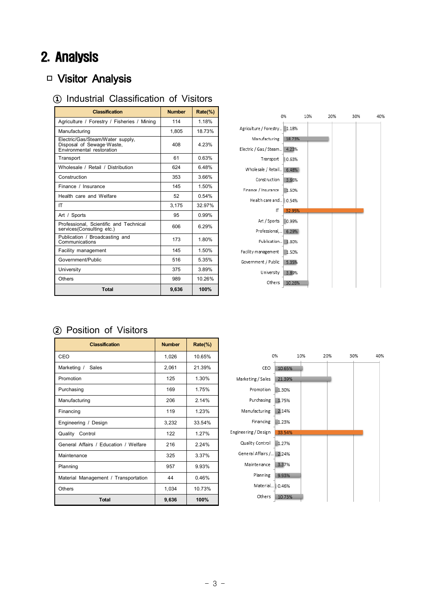# 2. Analysis

### □ Visitor Analysis

#### **①** Industrial Classification of Visitors

| <b>Classification</b>                                                                      | <b>Number</b> | Rate(%) |
|--------------------------------------------------------------------------------------------|---------------|---------|
| Agriculture / Forestry / Fisheries / Mining                                                | 114           | 1 18%   |
| Manufacturing                                                                              | 1,805         | 18.73%  |
| Electric/Gas/Steam/Water supply,<br>Disposal of Sewage Waste,<br>Environmental restoration | 408           | 4 23%   |
| Transport                                                                                  | 61            | 0.63%   |
| Wholesale / Retail / Distribution                                                          | 624           | 648%    |
| Construction                                                                               | 353           | 3.66%   |
| Finance / Insurance                                                                        | 145           | 1.50%   |
| Health care and Welfare                                                                    | 52            | 0.54%   |
| ΙT                                                                                         | 3,175         | 32.97%  |
| Art / Sports                                                                               | 95            | 0.99%   |
| Professional, Scientific and Technical<br>services(Consulting etc.)                        | 606           | 6.29%   |
| Publication / Broadcasting and<br>Communications                                           | 173           | 1.80%   |
| Facility management                                                                        | 145           | 1.50%   |
| Government/Public                                                                          | 516           | 5.35%   |
| University                                                                                 | 375           | 3.89%   |
| Others                                                                                     | 989           | 10.26%  |
| <b>Total</b>                                                                               | 9,636         | 100%    |



#### **②** Position of Visitors

| <b>Classification</b>                 | <b>Number</b> | $Rate$ %) |
|---------------------------------------|---------------|-----------|
| CEO                                   | 1,026         | 10.65%    |
| Marketing / Sales                     | 2,061         | 21.39%    |
| Promotion                             | 125           | 1.30%     |
| Purchasing                            | 169           | 1.75%     |
| Manufacturing                         | 206           | 2.14%     |
| Financing                             | 119           | 1.23%     |
| Engineering / Design                  | 3,232         | 33.54%    |
| Quality Control                       | 122           | 1 27%     |
| General Affairs / Education / Welfare | 216           | 2.24%     |
| Maintenance                           | 325           | 3.37%     |
| Planning                              | 957           | 9.93%     |
| Material Management / Transportation  | 44            | 0.46%     |
| Others                                | 1,034         | 10.73%    |
| Total                                 | 9,636         | 100%      |

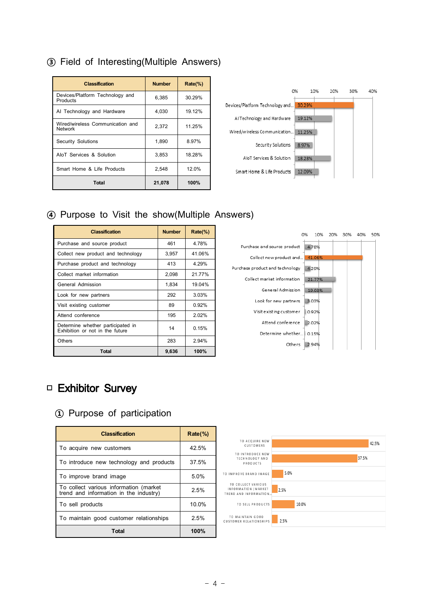| <b>Classification</b>                       | <b>Number</b> | $Rate(\%)$ |
|---------------------------------------------|---------------|------------|
| Devices/Platform Technology and<br>Products | 6,385         | 30.29%     |
| AI Technology and Hardware                  | 4.030         | 19.12%     |
| Wired/wireless Communication and<br>Network | 2,372         | 11.25%     |
| Security Solutions                          | 1,890         | 8.97%      |
| AloT Services & Solution                    | 3,853         | 18.28%     |
| Smart Home & Life Products                  | 2,548         | 12.0%      |
| <b>Total</b>                                | 21,078        | 100%       |

#### **③** Field of Interesting(Multiple Answers)



#### **④** Purpose to Visit the show(Multiple Answers)

| <b>Classification</b>                                                | <b>Number</b> | Rate(%) |
|----------------------------------------------------------------------|---------------|---------|
| Purchase and source product                                          | 461           | 4 78%   |
| Collect new product and technology                                   | 3,957         | 41.06%  |
| Purchase product and technology                                      | 413           | 4.29%   |
| Collect market information                                           | 2,098         | 21.77%  |
| General Admission                                                    | 1,834         | 19.04%  |
| Look for new partners                                                | 292           | 3.03%   |
| Visit existing customer                                              | 89            | 0.92%   |
| Attend conference                                                    | 195           | 202%    |
| Determine whether participated in<br>Exhibition or not in the future | 14            | 0.15%   |
| Others                                                               | 283           | 2.94%   |
| <b>Total</b>                                                         | 9,636         | 100%    |



### □ Exhibitor Survey

#### **①** Purpose of participation

| <b>Classification</b>                                                            | Rate(%) |
|----------------------------------------------------------------------------------|---------|
| To acquire new customers                                                         | 42.5%   |
| To introduce new technology and products                                         | 37.5%   |
| To improve brand image                                                           | 5.0%    |
| To collect various information (market<br>trend and information in the industry) | 2.5%    |
| To sell products                                                                 | 10.0%   |
| To maintain good customer relationships                                          | 2.5%    |
| Total                                                                            | 100%    |

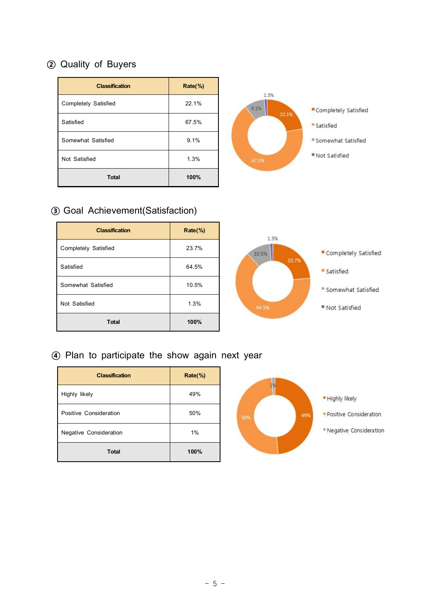### **②** Quality of Buyers

| <b>Classification</b>       | Rate(%) |
|-----------------------------|---------|
| <b>Completely Satisfied</b> | 22.1%   |
| Satisfied                   | 67.5%   |
| Somewhat Satisfied          | 9.1%    |
| Not Satisfied               | 1.3%    |
| <b>Total</b>                | 100%    |



#### **③** Goal Achievement(Satisfaction)

| <b>Classification</b> | $Rate$ %) |
|-----------------------|-----------|
| Completely Satisfied  | 23.7%     |
| Satisfied             | 64.5%     |
| Somewhat Satisfied    | 10.5%     |
| Not Satisfied         | 1.3%      |
| <b>Total</b>          | 100%      |



#### **④** Plan to participate the show again next year

| <b>Classification</b>         | $Rate$ %) |
|-------------------------------|-----------|
| Highly likely                 | 49%       |
| Positive Consideration        | 50%       |
| <b>Negative Consideration</b> | 1%        |
| <b>Total</b>                  | 100%      |